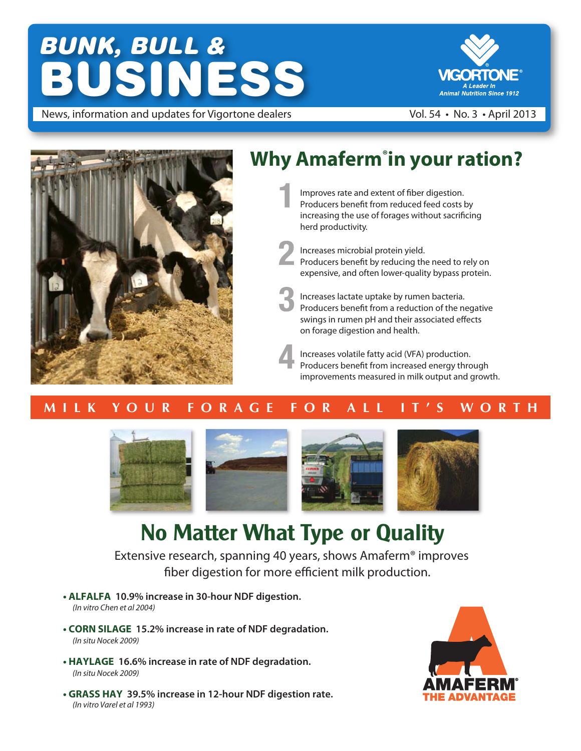# *BUNK, BULL &* BUSINESS



News, information and updates for Vigortone dealers Vol. 54 • No. 3 • April 2013



# **Why Amaferm® in your ration?**

Improves rate and extent of fiber digestion. Producers benefit from reduced feed costs by increasing the use of forages without sacrificing herd productivity.

Increases microbial protein yield. Producers benefit by reducing the need to rely on expensive, and often lower-quality bypass protein.

Increases lactate uptake by rumen bacteria. Producers benefit from a reduction of the negative swings in rumen pH and their associated effects on forage digestion and health.

Increases volatile fatty acid (VFA) production. Producers benefit from increased energy through improvements measured in milk output and growth.

### **M I L K Y O U R F O R A G E F O R A L L I T ' S W O R T H**



# **No Matter What Type or Quality**

Extensive research, spanning 40 years, shows Amaferm® improves fiber digestion for more efficient milk production.

- **ALFALFA 10.9% increase in 30-hour NDF digestion.** *(In vitro Chen et al 2004)*
- **CORN SILAGE 15.2% increase in rate of NDF degradation.** *(In situ Nocek 2009)*
- **HAYLAGE 16.6% increase in rate of NDF degradation.** *(In situ Nocek 2009)*
- **GRASS HAY 39.5% increase in 12-hour NDF digestion rate.** *(In vitro Varel et al 1993)*

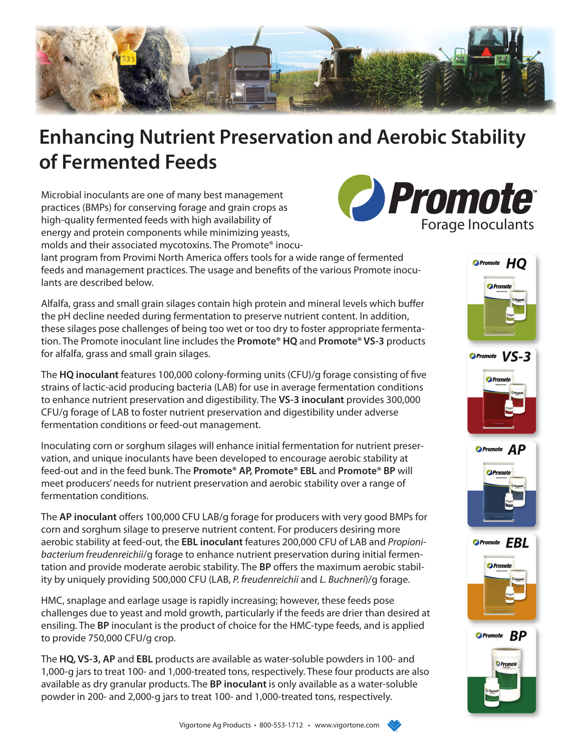

# **Enhancing Nutrient Preservation and Aerobic Stability of Fermented Feeds**

Microbial inoculants are one of many best management practices (BMPs) for conserving forage and grain crops as high-quality fermented feeds with high availability of energy and protein components while minimizing yeasts, molds and their associated mycotoxins. The Promote® inocu-



lant program from Provimi North America offers tools for a wide range of fermented feeds and management practices. The usage and benefits of the various Promote inoculants are described below.

Alfalfa, grass and small grain silages contain high protein and mineral levels which buffer the pH decline needed during fermentation to preserve nutrient content. In addition, these silages pose challenges of being too wet or too dry to foster appropriate fermentation. The Promote inoculant line includes the **Promote® HQ** and **Promote® VS-3** products for alfalfa, grass and small grain silages.

The **HQ inoculant** features 100,000 colony-forming units (CFU)/g forage consisting of five strains of lactic-acid producing bacteria (LAB) for use in average fermentation conditions to enhance nutrient preservation and digestibility. The **VS-3 inoculant** provides 300,000 CFU/g forage of LAB to foster nutrient preservation and digestibility under adverse fermentation conditions or feed-out management.

Inoculating corn or sorghum silages will enhance initial fermentation for nutrient preservation, and unique inoculants have been developed to encourage aerobic stability at feed-out and in the feed bunk. The **Promote® AP, Promote® EBL** and **Promote® BP** will meet producers' needs for nutrient preservation and aerobic stability over a range of fermentation conditions.

The **AP inoculant** offers 100,000 CFU LAB/g forage for producers with very good BMPs for corn and sorghum silage to preserve nutrient content. For producers desiring more aerobic stability at feed-out, the **EBL inoculant** features 200,000 CFU of LAB and *Propionibacterium freudenreichii*/g forage to enhance nutrient preservation during initial fermentation and provide moderate aerobic stability. The BP offers the maximum aerobic stability by uniquely providing 500,000 CFU (LAB, *P. freudenreichii* and *L. Buchneri*)/g forage.

HMC, snaplage and earlage usage is rapidly increasing; however, these feeds pose challenges due to yeast and mold growth, particularly if the feeds are drier than desired at ensiling. The **BP** inoculant is the product of choice for the HMC-type feeds, and is applied to provide 750,000 CFU/g crop.

The **HQ, VS-3, AP** and **EBL** products are available as water-soluble powders in 100- and 1,000-g jars to treat 100- and 1,000-treated tons, respectively. These four products are also available as dry granular products. The **BP inoculant** is only available as a water-soluble powder in 200- and 2,000-g jars to treat 100- and 1,000-treated tons, respectively.











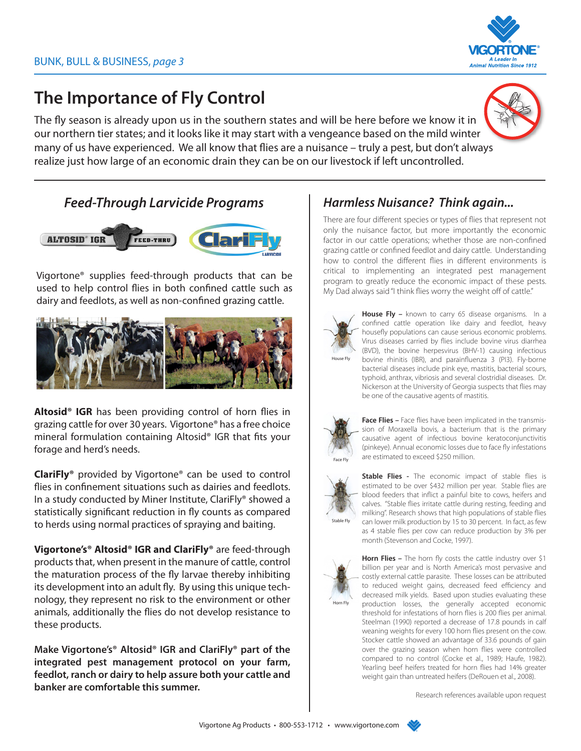

### **The Importance of Fly Control**

The fly season is already upon us in the southern states and will be here before we know it in our northern tier states; and it looks like it may start with a vengeance based on the mild winter many of us have experienced. We all know that flies are a nuisance  $-$  truly a pest, but don't always realize just how large of an economic drain they can be on our livestock if left uncontrolled.



#### *Feed-Through Larvicide Programs Harmless Nuisance? Think again...*



Vigortone® supplies feed-through products that can be used to help control flies in both confined cattle such as dairy and feedlots, as well as non-confined grazing cattle.



Altosid<sup>®</sup> IGR has been providing control of horn flies in grazing cattle for over 30 years. Vigortone® has a free choice mineral formulation containing Altosid® IGR that fits your forage and herd's needs.

**ClariFly®** provided by Vigortone® can be used to control flies in confinement situations such as dairies and feedlots. In a study conducted by Miner Institute, ClariFly® showed a statistically significant reduction in fly counts as compared to herds using normal practices of spraying and baiting.

**Vigortone's® Altosid® IGR and ClariFly®** are feed-through products that, when present in the manure of cattle, control the maturation process of the fly larvae thereby inhibiting its development into an adult fly. By using this unique technology, they represent no risk to the environment or other animals, additionally the flies do not develop resistance to these products.

**Make Vigortone's® Altosid® IGR and ClariFly® part of the integrated pest management protocol on your farm, feedlot, ranch or dairy to help assure both your cattle and banker are comfortable this summer.**

There are four different species or types of flies that represent not only the nuisance factor, but more importantly the economic factor in our cattle operations; whether those are non-confined grazing cattle or confined feedlot and dairy cattle. Understanding how to control the different flies in different environments is critical to implementing an integrated pest management program to greatly reduce the economic impact of these pests. My Dad always said "I think flies worry the weight off of cattle."



House Fly – known to carry 65 disease organisms. In a confined cattle operation like dairy and feedlot, heavy housefly populations can cause serious economic problems. Virus diseases carried by flies include bovine virus diarrhea (BVD), the bovine herpesvirus (BHV-1) causing infectious bovine rhinitis (IBR), and parainfluenza 3 (PI3). Fly-borne bacterial diseases include pink eye, mastitis, bacterial scours, typhoid, anthrax, vibriosis and several clostridial diseases. Dr. Nickerson at the University of Georgia suspects that flies may be one of the causative agents of mastitis.



**Face Flies –** Face flies have been implicated in the transmission of Moraxella bovis, a bacterium that is the primary causative agent of infectious bovine keratoconjunctivitis (pinkeye). Annual economic losses due to face fly infestations are estimated to exceed \$250 million.



Stable Fly

**Stable Flies -** The economic impact of stable flies is estimated to be over \$432 million per year. Stable flies are blood feeders that inflict a painful bite to cows, heifers and calves. "Stable flies irritate cattle during resting, feeding and milking". Research shows that high populations of stable flies can lower milk production by 15 to 30 percent. In fact, as few as 4 stable flies per cow can reduce production by 3% per month (Stevenson and Cocke, 1997).



Horn Flies - The horn fly costs the cattle industry over \$1 billion per year and is North America's most pervasive and costly external cattle parasite. These losses can be attributed to reduced weight gains, decreased feed efficiency and decreased milk yields. Based upon studies evaluating these production losses, the generally accepted economic threshold for infestations of horn flies is 200 flies per animal. Steelman (1990) reported a decrease of 17.8 pounds in calf weaning weights for every 100 horn flies present on the cow. Stocker cattle showed an advantage of 33.6 pounds of gain over the grazing season when horn flies were controlled compared to no control (Cocke et al., 1989; Haufe, 1982). Yearling beef heifers treated for horn flies had 14% greater weight gain than untreated heifers (DeRouen et al., 2008).

Research references available upon request